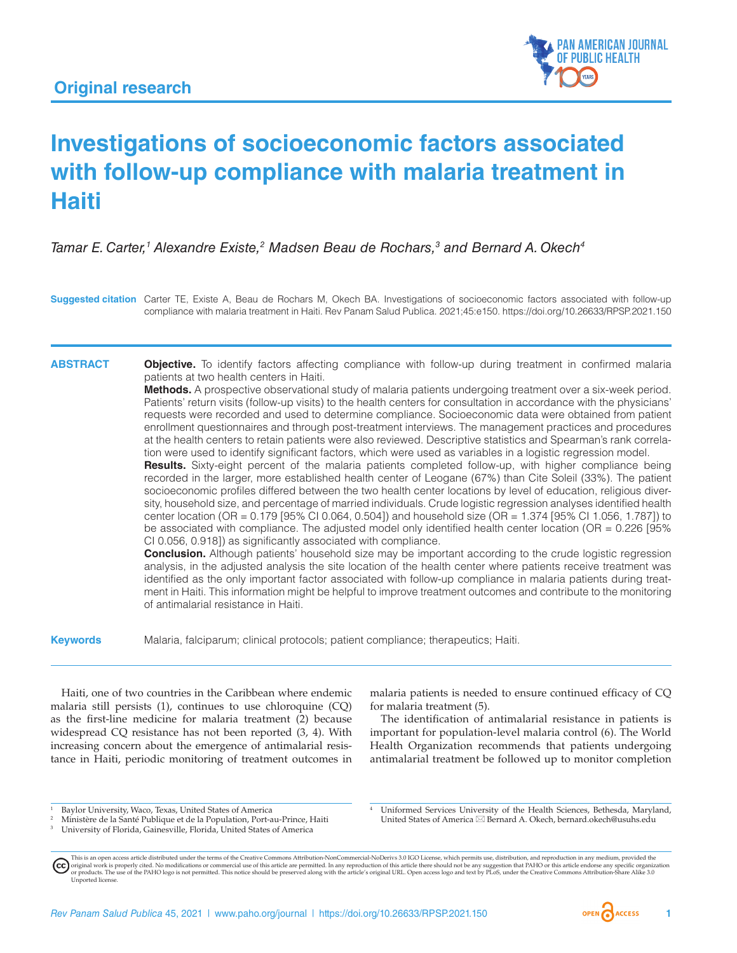

# **Investigations of socioeconomic factors associated with follow-up compliance with malaria treatment in Haiti**

Tamar E. Carter,<sup>1</sup> Alexandre Existe,<sup>2</sup> Madsen Beau de Rochars,<sup>3</sup> and Bernard A. Okech<sup>4</sup>

**Suggested citation** Carter TE, Existe A, Beau de Rochars M, Okech BA. Investigations of socioeconomic factors associated with follow-up compliance with malaria treatment in Haiti. Rev Panam Salud Publica. 2021;45:e150. <https://doi.org/10.26633/RPSP.2021.150>

**ABSTRACT Objective.** To identify factors affecting compliance with follow-up during treatment in confirmed malaria patients at two health centers in Haiti.

> **Methods.** A prospective observational study of malaria patients undergoing treatment over a six-week period. Patients' return visits (follow-up visits) to the health centers for consultation in accordance with the physicians' requests were recorded and used to determine compliance. Socioeconomic data were obtained from patient enrollment questionnaires and through post-treatment interviews. The management practices and procedures at the health centers to retain patients were also reviewed. Descriptive statistics and Spearman's rank correlation were used to identify significant factors, which were used as variables in a logistic regression model.

> **Results.** Sixty-eight percent of the malaria patients completed follow-up, with higher compliance being recorded in the larger, more established health center of Leogane (67%) than Cite Soleil (33%). The patient socioeconomic profiles differed between the two health center locations by level of education, religious diversity, household size, and percentage of married individuals. Crude logistic regression analyses identified health center location (OR = 0.179 [95% CI 0.064, 0.504]) and household size (OR = 1.374 [95% CI 1.056, 1.787]) to be associated with compliance. The adjusted model only identified health center location (OR = 0.226 [95% CI 0.056, 0.918]) as significantly associated with compliance.

> **Conclusion.** Although patients' household size may be important according to the crude logistic regression analysis, in the adjusted analysis the site location of the health center where patients receive treatment was identified as the only important factor associated with follow-up compliance in malaria patients during treatment in Haiti. This information might be helpful to improve treatment outcomes and contribute to the monitoring of antimalarial resistance in Haiti.

**Keywords** Malaria, falciparum; clinical protocols; patient compliance; therapeutics; Haiti.

Haiti, one of two countries in the Caribbean where endemic malaria still persists (1), continues to use chloroquine (CQ) as the first-line medicine for malaria treatment (2) because widespread CQ resistance has not been reported (3, 4). With increasing concern about the emergence of antimalarial resistance in Haiti, periodic monitoring of treatment outcomes in malaria patients is needed to ensure continued efficacy of CQ for malaria treatment (5).

The identification of antimalarial resistance in patients is important for population-level malaria control (6). The World Health Organization recommends that patients undergoing antimalarial treatment be followed up to monitor completion

Baylor University, Waco, Texas, United States of America

- <sup>2</sup> Ministère de la Santé Publique et de la Population, Port-au-Prince, Haiti
- University of Florida, Gainesville, Florida, United States of America

<sup>4</sup> Uniformed Services University of the Health Sciences, Bethesda, Maryland, United States of America \*  Bernard A. Okech, [bernard.okech@usuhs.edu](mailto:bernard.okech@usuhs.edu)

This is an open access article distributed under the terms of the [Creative Commons Attribution-NonCommercial-NoDerivs 3.0 IGO](https://creativecommons.org/licenses/by-nc-nd/3.0/igo/legalcode) License, which permits use, distribution, and reproduction in any medium, provided the original work is properly cited. No modifications or commercial use of this article are permitted. In any reproduction of this article there should not be any suggestion that PAHO or this article endorse any specific organ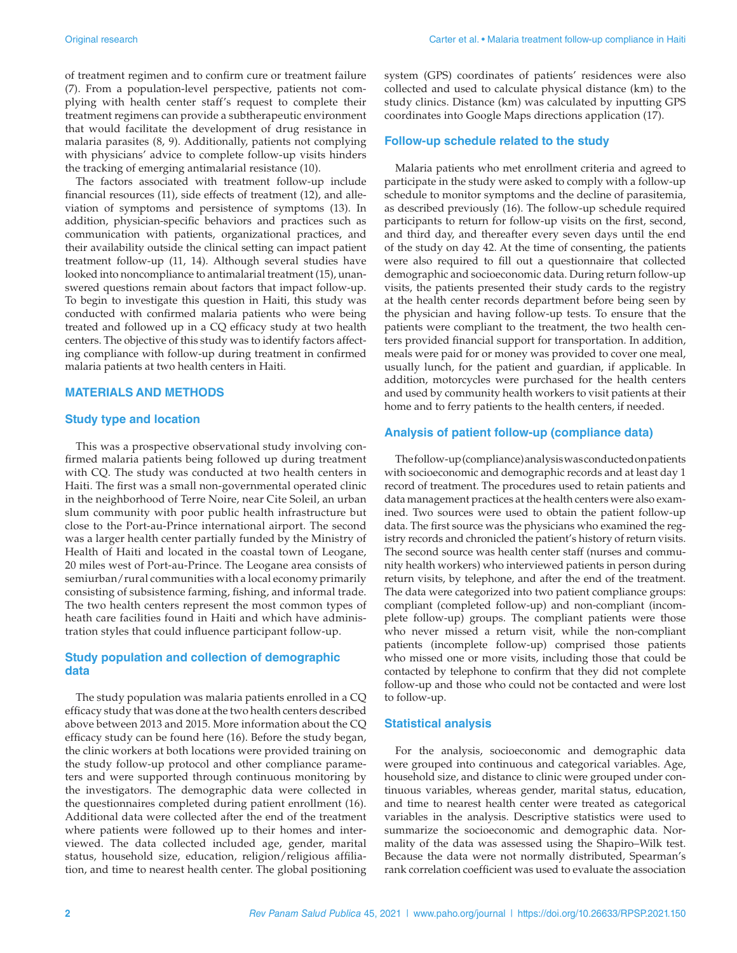Original research Carter et al. • Malaria treatment follow-up compliance in Haiti

of treatment regimen and to confirm cure or treatment failure (7). From a population-level perspective, patients not complying with health center staff's request to complete their treatment regimens can provide a subtherapeutic environment that would facilitate the development of drug resistance in malaria parasites (8, 9). Additionally, patients not complying with physicians' advice to complete follow-up visits hinders the tracking of emerging antimalarial resistance (10).

The factors associated with treatment follow-up include financial resources (11), side effects of treatment (12), and alleviation of symptoms and persistence of symptoms (13). In addition, physician-specific behaviors and practices such as communication with patients, organizational practices, and their availability outside the clinical setting can impact patient treatment follow-up (11, 14). Although several studies have looked into noncompliance to antimalarial treatment (15), unanswered questions remain about factors that impact follow-up. To begin to investigate this question in Haiti, this study was conducted with confirmed malaria patients who were being treated and followed up in a CQ efficacy study at two health centers. The objective of this study was to identify factors affecting compliance with follow-up during treatment in confirmed malaria patients at two health centers in Haiti.

# **MATERIALS AND METHODS**

# **Study type and location**

This was a prospective observational study involving confirmed malaria patients being followed up during treatment with CQ. The study was conducted at two health centers in Haiti. The first was a small non-governmental operated clinic in the neighborhood of Terre Noire, near Cite Soleil, an urban slum community with poor public health infrastructure but close to the Port-au-Prince international airport. The second was a larger health center partially funded by the Ministry of Health of Haiti and located in the coastal town of Leogane, 20 miles west of Port-au-Prince. The Leogane area consists of semiurban/rural communities with a local economy primarily consisting of subsistence farming, fishing, and informal trade. The two health centers represent the most common types of heath care facilities found in Haiti and which have administration styles that could influence participant follow-up.

# **Study population and collection of demographic data**

The study population was malaria patients enrolled in a CQ efficacy study that was done at the two health centers described above between 2013 and 2015. More information about the CQ efficacy study can be found here (16). Before the study began, the clinic workers at both locations were provided training on the study follow-up protocol and other compliance parameters and were supported through continuous monitoring by the investigators. The demographic data were collected in the questionnaires completed during patient enrollment (16). Additional data were collected after the end of the treatment where patients were followed up to their homes and interviewed. The data collected included age, gender, marital status, household size, education, religion/religious affiliation, and time to nearest health center. The global positioning

system (GPS) coordinates of patients' residences were also collected and used to calculate physical distance (km) to the study clinics. Distance (km) was calculated by inputting GPS coordinates into Google Maps directions application (17).

# **Follow-up schedule related to the study**

Malaria patients who met enrollment criteria and agreed to participate in the study were asked to comply with a follow-up schedule to monitor symptoms and the decline of parasitemia, as described previously (16). The follow-up schedule required participants to return for follow-up visits on the first, second, and third day, and thereafter every seven days until the end of the study on day 42. At the time of consenting, the patients were also required to fill out a questionnaire that collected demographic and socioeconomic data. During return follow-up visits, the patients presented their study cards to the registry at the health center records department before being seen by the physician and having follow-up tests. To ensure that the patients were compliant to the treatment, the two health centers provided financial support for transportation. In addition, meals were paid for or money was provided to cover one meal, usually lunch, for the patient and guardian, if applicable. In addition, motorcycles were purchased for the health centers and used by community health workers to visit patients at their home and to ferry patients to the health centers, if needed.

# **Analysis of patient follow-up (compliance data)**

The follow-up (compliance) analysis was conducted on patients with socioeconomic and demographic records and at least day 1 record of treatment. The procedures used to retain patients and data management practices at the health centers were also examined. Two sources were used to obtain the patient follow-up data. The first source was the physicians who examined the registry records and chronicled the patient's history of return visits. The second source was health center staff (nurses and community health workers) who interviewed patients in person during return visits, by telephone, and after the end of the treatment. The data were categorized into two patient compliance groups: compliant (completed follow-up) and non-compliant (incomplete follow-up) groups. The compliant patients were those who never missed a return visit, while the non-compliant patients (incomplete follow-up) comprised those patients who missed one or more visits, including those that could be contacted by telephone to confirm that they did not complete follow-up and those who could not be contacted and were lost to follow-up.

### **Statistical analysis**

For the analysis, socioeconomic and demographic data were grouped into continuous and categorical variables. Age, household size, and distance to clinic were grouped under continuous variables, whereas gender, marital status, education, and time to nearest health center were treated as categorical variables in the analysis. Descriptive statistics were used to summarize the socioeconomic and demographic data. Normality of the data was assessed using the Shapiro–Wilk test. Because the data were not normally distributed, Spearman's rank correlation coefficient was used to evaluate the association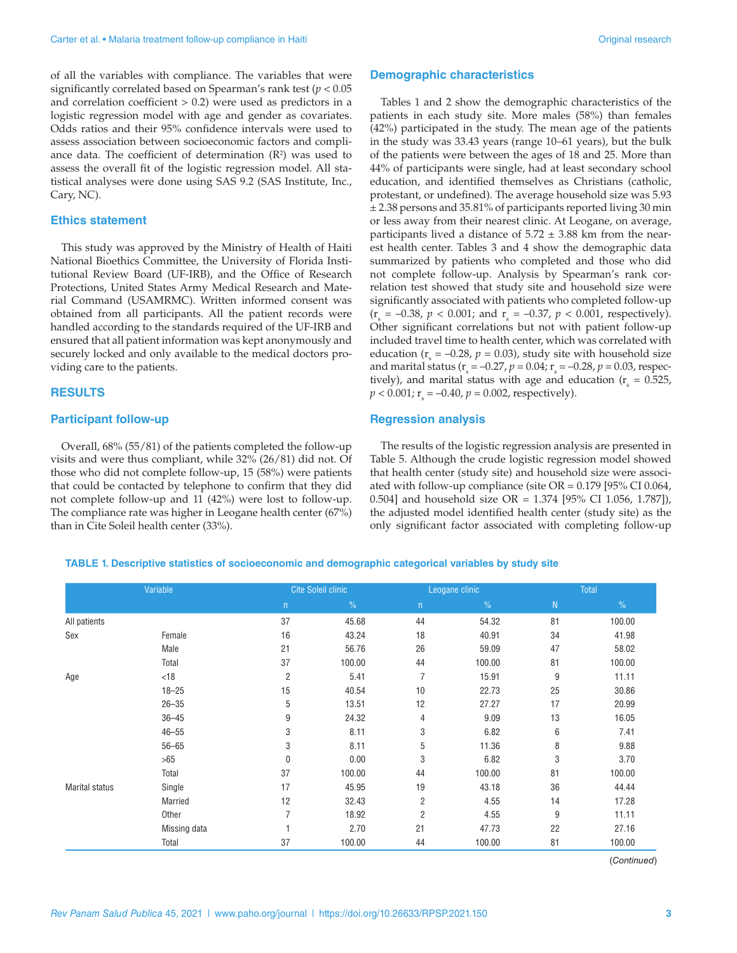of all the variables with compliance. The variables that were significantly correlated based on Spearman's rank test (*p* < 0.05 and correlation coefficient  $> 0.2$ ) were used as predictors in a logistic regression model with age and gender as covariates. Odds ratios and their 95% confidence intervals were used to assess association between socioeconomic factors and compliance data. The coefficient of determination  $(R^2)$  was used to assess the overall fit of the logistic regression model. All statistical analyses were done using SAS 9.2 (SAS Institute, Inc., Cary, NC).

# **Ethics statement**

This study was approved by the Ministry of Health of Haiti National Bioethics Committee, the University of Florida Institutional Review Board (UF-IRB), and the Office of Research Protections, United States Army Medical Research and Material Command (USAMRMC). Written informed consent was obtained from all participants. All the patient records were handled according to the standards required of the UF-IRB and ensured that all patient information was kept anonymously and securely locked and only available to the medical doctors providing care to the patients.

# **RESULTS**

# **Participant follow-up**

Overall, 68% (55/81) of the patients completed the follow-up visits and were thus compliant, while 32% (26/81) did not. Of those who did not complete follow-up, 15 (58%) were patients that could be contacted by telephone to confirm that they did not complete follow-up and 11 (42%) were lost to follow-up. The compliance rate was higher in Leogane health center (67%) than in Cite Soleil health center (33%).

# **Demographic characteristics**

Tables 1 and 2 show the demographic characteristics of the patients in each study site. More males (58%) than females  $(42%)$  participated in the study. The mean age of the patients in the study was 33.43 years (range 10–61 years), but the bulk of the patients were between the ages of 18 and 25. More than 44% of participants were single, had at least secondary school education, and identified themselves as Christians (catholic, protestant, or undefined). The average household size was 5.93 ± 2.38 persons and 35.81% of participants reported living 30 min or less away from their nearest clinic. At Leogane, on average, participants lived a distance of  $5.72 \pm 3.88$  km from the nearest health center. Tables 3 and 4 show the demographic data summarized by patients who completed and those who did not complete follow-up. Analysis by Spearman's rank correlation test showed that study site and household size were significantly associated with patients who completed follow-up  $(r<sub>s</sub> = -0.38, p < 0.001;$  and  $r<sub>s</sub> = -0.37, p < 0.001$ , respectively). Other significant correlations but not with patient follow-up included travel time to health center, which was correlated with education ( $r_s = -0.28$ ,  $p = 0.03$ ), study site with household size and marital status ( $r_s = -0.27$ ,  $p = 0.04$ ;  $r_s = -0.28$ ,  $p = 0.03$ , respectively), and marital status with age and education ( $r<sub>s</sub> = 0.525$ ,  $p < 0.001$ ;  $r_s = -0.40$ ,  $p = 0.002$ , respectively).

# **Regression analysis**

The results of the logistic regression analysis are presented in Table 5. Although the crude logistic regression model showed that health center (study site) and household size were associated with follow-up compliance (site  $OR = 0.179$  [95% CI 0.064, 0.504] and household size OR = 1.374 [95% CI 1.056, 1.787]), the adjusted model identified health center (study site) as the only significant factor associated with completing follow-up

# **TABLE 1. Descriptive statistics of socioeconomic and demographic categorical variables by study site**

| Variable       |              |              | <b>Cite Soleil clinic</b> |                | Leogane clinic |    | <b>Total</b>  |  |
|----------------|--------------|--------------|---------------------------|----------------|----------------|----|---------------|--|
|                |              | $\mathsf{n}$ | $\frac{0}{0}$             | n              | $\frac{9}{6}$  | N  | $\frac{0}{0}$ |  |
| All patients   |              | 37           | 45.68                     | 44             | 54.32          | 81 | 100.00        |  |
| Sex            | Female       | 16           | 43.24                     | 18             | 40.91          | 34 | 41.98         |  |
|                | Male         | 21           | 56.76                     | 26             | 59.09          | 47 | 58.02         |  |
|                | Total        | 37           | 100.00                    | 44             | 100.00         | 81 | 100.00        |  |
| Age            | < 18         | 2            | 5.41                      | 7              | 15.91          | 9  | 11.11         |  |
|                | $18 - 25$    | 15           | 40.54                     | 10             | 22.73          | 25 | 30.86         |  |
|                | $26 - 35$    | 5            | 13.51                     | 12             | 27.27          | 17 | 20.99         |  |
|                | $36 - 45$    | 9            | 24.32                     | 4              | 9.09           | 13 | 16.05         |  |
|                | $46 - 55$    | 3            | 8.11                      | 3              | 6.82           | 6  | 7.41          |  |
|                | $56 - 65$    | 3            | 8.11                      | 5              | 11.36          | 8  | 9.88          |  |
|                | $>65$        | 0            | 0.00                      | 3              | 6.82           | 3  | 3.70          |  |
|                | Total        | 37           | 100.00                    | 44             | 100.00         | 81 | 100.00        |  |
| Marital status | Single       | 17           | 45.95                     | 19             | 43.18          | 36 | 44.44         |  |
|                | Married      | 12           | 32.43                     | $\overline{2}$ | 4.55           | 14 | 17.28         |  |
|                | Other        | 7            | 18.92                     | $\overline{2}$ | 4.55           | 9  | 11.11         |  |
|                | Missing data |              | 2.70                      | 21             | 47.73          | 22 | 27.16         |  |
|                | Total        | 37           | 100.00                    | 44             | 100.00         | 81 | 100.00        |  |

(*Continued*)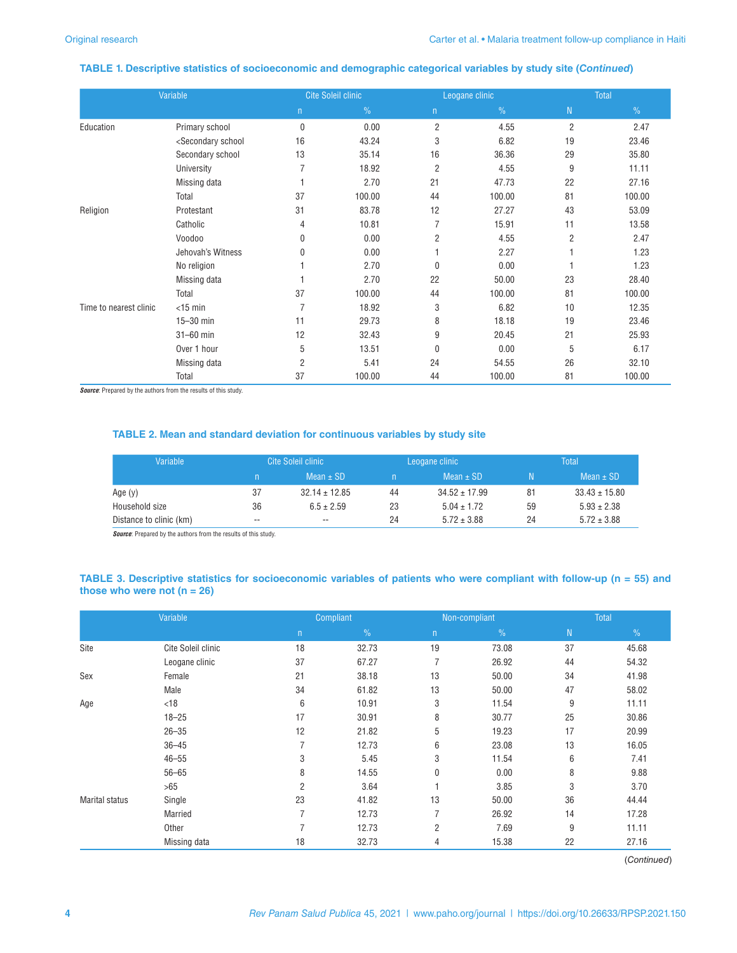# **TABLE 1. Descriptive statistics of socioeconomic and demographic categorical variables by study site (***Continued***)**

| Variable               |                                                                                                                   |                | <b>Cite Soleil clinic</b> |                | Leogane clinic |                | <b>Total</b>  |  |
|------------------------|-------------------------------------------------------------------------------------------------------------------|----------------|---------------------------|----------------|----------------|----------------|---------------|--|
|                        |                                                                                                                   | n              | $\frac{0}{0}$             | n              | $\frac{0}{0}$  | N              | $\frac{0}{0}$ |  |
| Education              | Primary school                                                                                                    | $\mathbf 0$    | 0.00                      | $\overline{2}$ | 4.55           | $\overline{2}$ | 2.47          |  |
|                        | <secondary school<="" td=""><td>16</td><td>43.24</td><td>3</td><td>6.82</td><td>19</td><td>23.46</td></secondary> | 16             | 43.24                     | 3              | 6.82           | 19             | 23.46         |  |
|                        | Secondary school                                                                                                  | 13             | 35.14                     | 16             | 36.36          | 29             | 35.80         |  |
|                        | University                                                                                                        | $\overline{7}$ | 18.92                     | $\overline{2}$ | 4.55           | 9              | 11.11         |  |
|                        | Missing data                                                                                                      |                | 2.70                      | 21             | 47.73          | 22             | 27.16         |  |
|                        | Total                                                                                                             | 37             | 100.00                    | 44             | 100.00         | 81             | 100.00        |  |
| Religion               | Protestant                                                                                                        | 31             | 83.78                     | 12             | 27.27          | 43             | 53.09         |  |
|                        | Catholic                                                                                                          | 4              | 10.81                     | 7              | 15.91          | 11             | 13.58         |  |
|                        | Voodoo                                                                                                            | 0              | 0.00                      | 2              | 4.55           | $\overline{2}$ | 2.47          |  |
|                        | Jehovah's Witness                                                                                                 | $\pmb{0}$      | 0.00                      |                | 2.27           |                | 1.23          |  |
|                        | No religion                                                                                                       |                | 2.70                      | $\theta$       | 0.00           |                | 1.23          |  |
|                        | Missing data                                                                                                      |                | 2.70                      | 22             | 50.00          | 23             | 28.40         |  |
|                        | Total                                                                                                             | 37             | 100.00                    | 44             | 100.00         | 81             | 100.00        |  |
| Time to nearest clinic | $<$ 15 min                                                                                                        | $\overline{7}$ | 18.92                     | 3              | 6.82           | 10             | 12.35         |  |
|                        | $15-30$ min                                                                                                       | 11             | 29.73                     | 8              | 18.18          | 19             | 23.46         |  |
|                        | 31-60 min                                                                                                         | 12             | 32.43                     | 9              | 20.45          | 21             | 25.93         |  |
|                        | Over 1 hour                                                                                                       | 5              | 13.51                     | 0              | 0.00           | 5              | 6.17          |  |
|                        | Missing data                                                                                                      | $\overline{2}$ | 5.41                      | 24             | 54.55          | 26             | 32.10         |  |
|                        | Total                                                                                                             | 37             | 100.00                    | 44             | 100.00         | 81             | 100.00        |  |

**Source:** Prepared by the authors from the results of this study.

# **TABLE 2. Mean and standard deviation for continuous variables by study site**

| Variable                | Cite Soleil clinic |                   |    | Leogane clinic    | Total |                   |
|-------------------------|--------------------|-------------------|----|-------------------|-------|-------------------|
|                         |                    | Mean $\pm$ SD     |    | Mean $\pm$ SD     | N.    | Mean $\pm$ SD     |
| Age $(y)$               | 37                 | $32.14 \pm 12.85$ | 44 | $34.52 \pm 17.99$ | 81    | $33.43 \pm 15.80$ |
| Household size          | 36                 | $6.5 \pm 2.59$    | 23 | $5.04 \pm 1.72$   | 59    | $5.93 \pm 2.38$   |
| Distance to clinic (km) | $- -$              | $- -$             | 24 | $5.72 \pm 3.88$   | 24    | $5.72 \pm 3.88$   |

**Source:** Prepared by the authors from the results of this study.

# **TABLE 3. Descriptive statistics for socioeconomic variables of patients who were compliant with follow-up (n = 55) and those who were not (n = 26)**

| Variable              |                    |                | Compliant     |                | Non-compliant |    | <b>Total</b>  |  |
|-----------------------|--------------------|----------------|---------------|----------------|---------------|----|---------------|--|
|                       |                    | $\mathsf{n}$   | $\frac{9}{6}$ | n              | $\frac{9}{6}$ | N. | $\frac{9}{6}$ |  |
| Site                  | Cite Soleil clinic | 18             | 32.73         | 19             | 73.08         | 37 | 45.68         |  |
|                       | Leogane clinic     | 37             | 67.27         | 7              | 26.92         | 44 | 54.32         |  |
| Sex                   | Female             | 21             | 38.18         | 13             | 50.00         | 34 | 41.98         |  |
|                       | Male               | 34             | 61.82         | 13             | 50.00         | 47 | 58.02         |  |
| Age                   | < 18               | 6              | 10.91         | 3              | 11.54         | 9  | 11.11         |  |
|                       | $18 - 25$          | 17             | 30.91         | 8              | 30.77         | 25 | 30.86         |  |
|                       | $26 - 35$          | 12             | 21.82         | 5              | 19.23         | 17 | 20.99         |  |
|                       | $36 - 45$          | 7              | 12.73         | 6              | 23.08         | 13 | 16.05         |  |
|                       | $46 - 55$          | 3              | 5.45          | 3              | 11.54         | 6  | 7.41          |  |
|                       | $56 - 65$          | 8              | 14.55         | $\mathbf{0}$   | 0.00          | 8  | 9.88          |  |
|                       | >65                | $\overline{2}$ | 3.64          |                | 3.85          | 3  | 3.70          |  |
| <b>Marital status</b> | Single             | 23             | 41.82         | 13             | 50.00         | 36 | 44.44         |  |
|                       | Married            | 7              | 12.73         | 7              | 26.92         | 14 | 17.28         |  |
|                       | Other              | 7              | 12.73         | $\overline{2}$ | 7.69          | 9  | 11.11         |  |
|                       | Missing data       | 18             | 32.73         | 4              | 15.38         | 22 | 27.16         |  |

(*Continued*)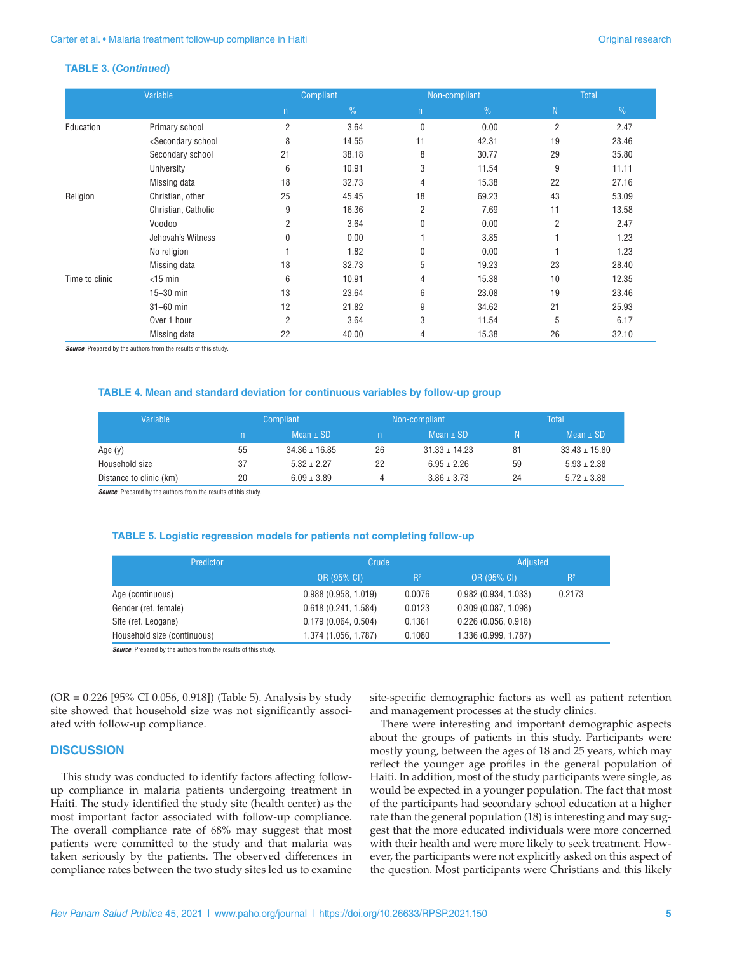# **TABLE 3. (***Continued***)**

| Variable       |                                                                                                                    |                | <b>Compliant</b> |                | Non-compliant |                | <b>Total</b>  |  |
|----------------|--------------------------------------------------------------------------------------------------------------------|----------------|------------------|----------------|---------------|----------------|---------------|--|
|                |                                                                                                                    | n              | $\frac{9}{6}$    | n              | $\%$          | <sup>N</sup>   | $\frac{0}{0}$ |  |
| Education      | Primary school                                                                                                     | 2              | 3.64             | $\mathbf 0$    | 0.00          | $\overline{2}$ | 2.47          |  |
|                | <secondary school<="" td=""><td>8</td><td>14.55</td><td>11</td><td>42.31</td><td>19</td><td>23.46</td></secondary> | 8              | 14.55            | 11             | 42.31         | 19             | 23.46         |  |
|                | Secondary school                                                                                                   | 21             | 38.18            | 8              | 30.77         | 29             | 35.80         |  |
|                | University                                                                                                         | 6              | 10.91            | 3              | 11.54         | 9              | 11.11         |  |
|                | Missing data                                                                                                       | 18             | 32.73            | 4              | 15.38         | 22             | 27.16         |  |
| Religion       | Christian, other                                                                                                   | 25             | 45.45            | 18             | 69.23         | 43             | 53.09         |  |
|                | Christian, Catholic                                                                                                | 9              | 16.36            | $\overline{2}$ | 7.69          | 11             | 13.58         |  |
|                | Voodoo                                                                                                             | 2              | 3.64             | $\mathbf 0$    | 0.00          | $\overline{2}$ | 2.47          |  |
|                | Jehovah's Witness                                                                                                  | 0              | 0.00             |                | 3.85          |                | 1.23          |  |
|                | No religion                                                                                                        |                | 1.82             | $\mathbf 0$    | 0.00          |                | 1.23          |  |
|                | Missing data                                                                                                       | 18             | 32.73            | 5              | 19.23         | 23             | 28.40         |  |
| Time to clinic | $<$ 15 min                                                                                                         | 6              | 10.91            | $\overline{4}$ | 15.38         | 10             | 12.35         |  |
|                | $15-30$ min                                                                                                        | 13             | 23.64            | 6              | 23.08         | 19             | 23.46         |  |
|                | $31-60$ min                                                                                                        | 12             | 21.82            | 9              | 34.62         | 21             | 25.93         |  |
|                | Over 1 hour                                                                                                        | $\overline{2}$ | 3.64             | 3              | 11.54         | 5              | 6.17          |  |
|                | Missing data                                                                                                       | 22             | 40.00            | 4              | 15.38         | 26             | 32.10         |  |

*Source*: Prepared by the authors from the results of this study.

### **TABLE 4. Mean and standard deviation for continuous variables by follow-up group**

| Variable                | <b>Compliant</b> |                   |    | Non-compliant     | Total |                   |
|-------------------------|------------------|-------------------|----|-------------------|-------|-------------------|
|                         | n.               | Mean $\pm$ SD     | n. | Mean $\pm$ SD     |       | Mean $\pm$ SD     |
| Age (y)                 | 55               | $34.36 \pm 16.85$ | 26 | $31.33 \pm 14.23$ | 81    | $33.43 \pm 15.80$ |
| Household size          | 37               | $5.32 \pm 2.27$   | 22 | $6.95 \pm 2.26$   | 59    | $5.93 \pm 2.38$   |
| Distance to clinic (km) | 20               | $6.09 \pm 3.89$   |    | $3.86 \pm 3.73$   | 24    | $5.72 \pm 3.88$   |
|                         |                  |                   |    |                   |       |                   |

**Source**: Prepared by the authors from the results of this study.

# **TABLE 5. Logistic regression models for patients not completing follow-up**

| Predictor                   | Crude                |        | Adjusted             |        |  |
|-----------------------------|----------------------|--------|----------------------|--------|--|
|                             | OR (95% CI)          | $R^2$  | OR (95% CI)          | $R^2$  |  |
| Age (continuous)            | 0.988(0.958, 1.019)  | 0.0076 | 0.982(0.934, 1.033)  | 0.2173 |  |
| Gender (ref. female)        | 0.618(0.241, 1.584)  | 0.0123 | 0.309(0.087, 1.098)  |        |  |
| Site (ref. Leogane)         | 0.179(0.064, 0.504)  | 0.1361 | 0.226(0.056, 0.918)  |        |  |
| Household size (continuous) | 1.374 (1.056, 1.787) | 0.1080 | 1.336 (0.999, 1.787) |        |  |

*Source*: Prepared by the authors from the results of this study.

(OR = 0.226 [95% CI 0.056, 0.918]) (Table 5). Analysis by study site showed that household size was not significantly associated with follow-up compliance.

# **DISCUSSION**

This study was conducted to identify factors affecting followup compliance in malaria patients undergoing treatment in Haiti. The study identified the study site (health center) as the most important factor associated with follow-up compliance. The overall compliance rate of 68% may suggest that most patients were committed to the study and that malaria was taken seriously by the patients. The observed differences in compliance rates between the two study sites led us to examine site-specific demographic factors as well as patient retention and management processes at the study clinics.

There were interesting and important demographic aspects about the groups of patients in this study. Participants were mostly young, between the ages of 18 and 25 years, which may reflect the younger age profiles in the general population of Haiti. In addition, most of the study participants were single, as would be expected in a younger population. The fact that most of the participants had secondary school education at a higher rate than the general population (18) is interesting and may suggest that the more educated individuals were more concerned with their health and were more likely to seek treatment. However, the participants were not explicitly asked on this aspect of the question. Most participants were Christians and this likely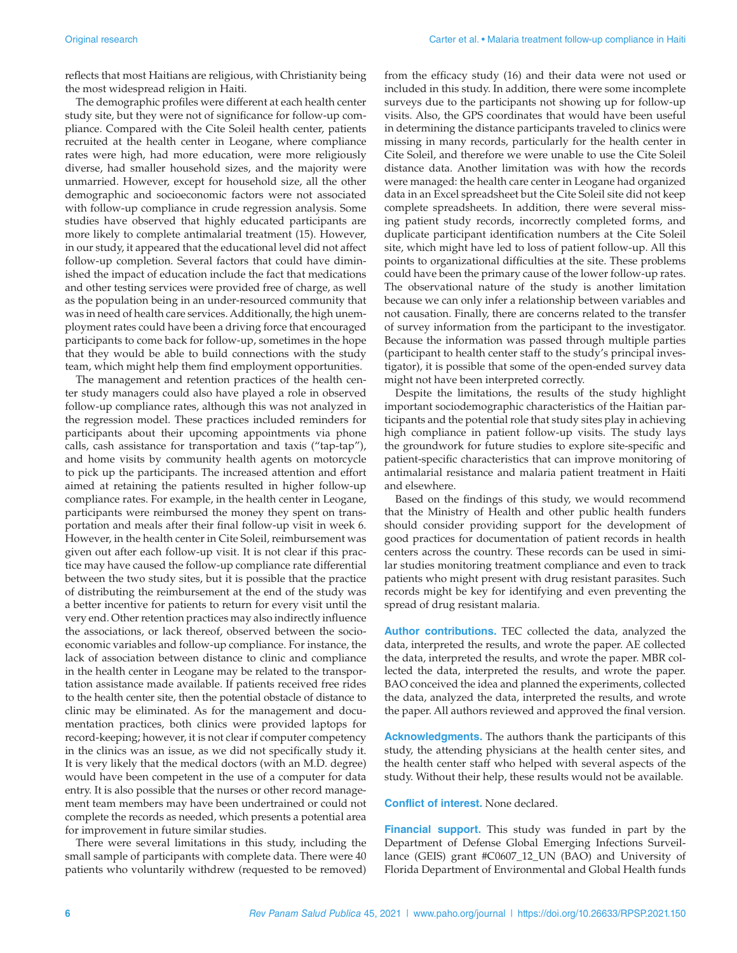reflects that most Haitians are religious, with Christianity being the most widespread religion in Haiti.

The demographic profiles were different at each health center study site, but they were not of significance for follow-up compliance. Compared with the Cite Soleil health center, patients recruited at the health center in Leogane, where compliance rates were high, had more education, were more religiously diverse, had smaller household sizes, and the majority were unmarried. However, except for household size, all the other demographic and socioeconomic factors were not associated with follow-up compliance in crude regression analysis. Some studies have observed that highly educated participants are more likely to complete antimalarial treatment (15). However, in our study, it appeared that the educational level did not affect follow-up completion. Several factors that could have diminished the impact of education include the fact that medications and other testing services were provided free of charge, as well as the population being in an under-resourced community that was in need of health care services. Additionally, the high unemployment rates could have been a driving force that encouraged participants to come back for follow-up, sometimes in the hope that they would be able to build connections with the study team, which might help them find employment opportunities.

The management and retention practices of the health center study managers could also have played a role in observed follow-up compliance rates, although this was not analyzed in the regression model. These practices included reminders for participants about their upcoming appointments via phone calls, cash assistance for transportation and taxis ("tap-tap"), and home visits by community health agents on motorcycle to pick up the participants. The increased attention and effort aimed at retaining the patients resulted in higher follow-up compliance rates. For example, in the health center in Leogane, participants were reimbursed the money they spent on transportation and meals after their final follow-up visit in week 6. However, in the health center in Cite Soleil, reimbursement was given out after each follow-up visit. It is not clear if this practice may have caused the follow-up compliance rate differential between the two study sites, but it is possible that the practice of distributing the reimbursement at the end of the study was a better incentive for patients to return for every visit until the very end. Other retention practices may also indirectly influence the associations, or lack thereof, observed between the socioeconomic variables and follow-up compliance. For instance, the lack of association between distance to clinic and compliance in the health center in Leogane may be related to the transportation assistance made available. If patients received free rides to the health center site, then the potential obstacle of distance to clinic may be eliminated. As for the management and documentation practices, both clinics were provided laptops for record-keeping; however, it is not clear if computer competency in the clinics was an issue, as we did not specifically study it. It is very likely that the medical doctors (with an M.D. degree) would have been competent in the use of a computer for data entry. It is also possible that the nurses or other record management team members may have been undertrained or could not complete the records as needed, which presents a potential area for improvement in future similar studies.

There were several limitations in this study, including the small sample of participants with complete data. There were 40 patients who voluntarily withdrew (requested to be removed)

from the efficacy study (16) and their data were not used or included in this study. In addition, there were some incomplete surveys due to the participants not showing up for follow-up visits. Also, the GPS coordinates that would have been useful in determining the distance participants traveled to clinics were missing in many records, particularly for the health center in Cite Soleil, and therefore we were unable to use the Cite Soleil distance data. Another limitation was with how the records were managed: the health care center in Leogane had organized data in an Excel spreadsheet but the Cite Soleil site did not keep complete spreadsheets. In addition, there were several missing patient study records, incorrectly completed forms, and duplicate participant identification numbers at the Cite Soleil site, which might have led to loss of patient follow-up. All this points to organizational difficulties at the site. These problems could have been the primary cause of the lower follow-up rates. The observational nature of the study is another limitation because we can only infer a relationship between variables and not causation. Finally, there are concerns related to the transfer of survey information from the participant to the investigator. Because the information was passed through multiple parties (participant to health center staff to the study's principal investigator), it is possible that some of the open-ended survey data might not have been interpreted correctly.

Despite the limitations, the results of the study highlight important sociodemographic characteristics of the Haitian participants and the potential role that study sites play in achieving high compliance in patient follow-up visits. The study lays the groundwork for future studies to explore site-specific and patient-specific characteristics that can improve monitoring of antimalarial resistance and malaria patient treatment in Haiti and elsewhere.

Based on the findings of this study, we would recommend that the Ministry of Health and other public health funders should consider providing support for the development of good practices for documentation of patient records in health centers across the country. These records can be used in similar studies monitoring treatment compliance and even to track patients who might present with drug resistant parasites. Such records might be key for identifying and even preventing the spread of drug resistant malaria.

**Author contributions.** TEC collected the data, analyzed the data, interpreted the results, and wrote the paper. AE collected the data, interpreted the results, and wrote the paper. MBR collected the data, interpreted the results, and wrote the paper. BAO conceived the idea and planned the experiments, collected the data, analyzed the data, interpreted the results, and wrote the paper. All authors reviewed and approved the final version.

**Acknowledgments.** The authors thank the participants of this study, the attending physicians at the health center sites, and the health center staff who helped with several aspects of the study. Without their help, these results would not be available.

**Conflict of interest.** None declared.

**Financial support.** This study was funded in part by the Department of Defense Global Emerging Infections Surveillance (GEIS) grant #C0607\_12\_UN (BAO) and University of Florida Department of Environmental and Global Health funds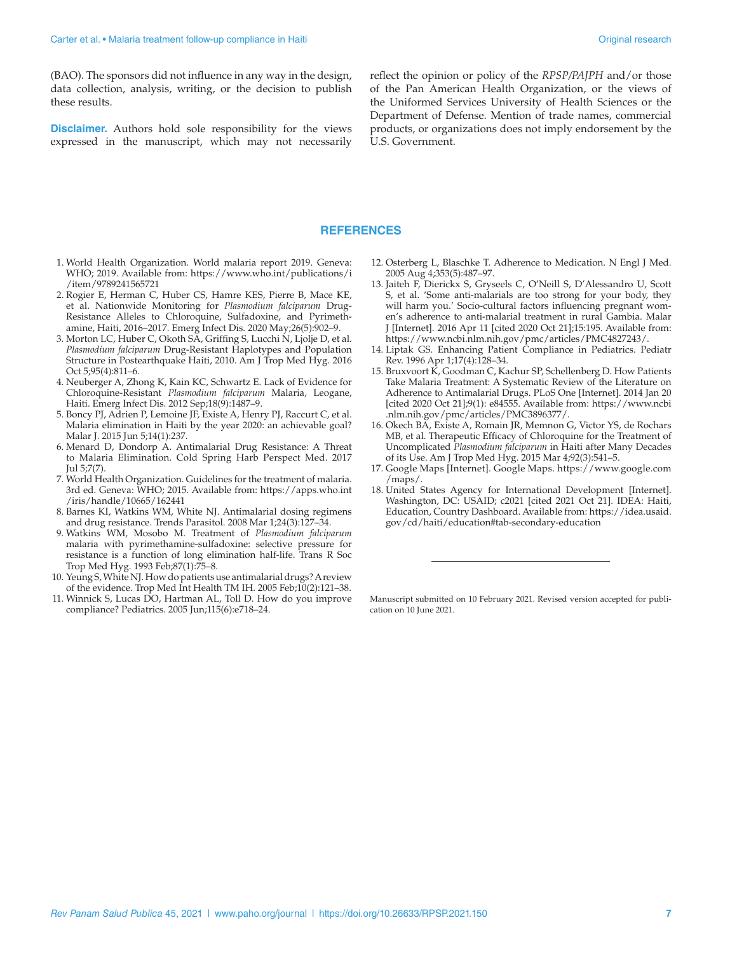(BAO). The sponsors did not influence in any way in the design, data collection, analysis, writing, or the decision to publish these results.

**Disclaimer.** Authors hold sole responsibility for the views expressed in the manuscript, which may not necessarily

reflect the opinion or policy of the *RPSP/PAJPH* and/or those of the Pan American Health Organization, or the views of the Uniformed Services University of Health Sciences or the Department of Defense. Mention of trade names, commercial products, or organizations does not imply endorsement by the U.S. Government.

# **REFERENCES**

- 1. World Health Organization. World malaria report 2019. Geneva: WHO; 2019. Available from: [https://www.who.int/publications/i](https://www.who.int/publications/i/item/9789241565721) [/item/9789241565721](https://www.who.int/publications/i/item/9789241565721)
- 2. Rogier E, Herman C, Huber CS, Hamre KES, Pierre B, Mace KE, et al. Nationwide Monitoring for *Plasmodium falciparum* Drug-Resistance Alleles to Chloroquine, Sulfadoxine, and Pyrimethamine, Haiti, 2016–2017. Emerg Infect Dis. 2020 May;26(5):902–9.
- 3. Morton LC, Huber C, Okoth SA, Griffing S, Lucchi N, Ljolje D, et al. *Plasmodium falciparum* Drug-Resistant Haplotypes and Population Structure in Postearthquake Haiti, 2010. Am J Trop Med Hyg. 2016 Oct 5;95(4):811–6.
- 4. Neuberger A, Zhong K, Kain KC, Schwartz E. Lack of Evidence for Chloroquine-Resistant *Plasmodium falciparum* Malaria, Leogane, Haiti. Emerg Infect Dis. 2012 Sep;18(9):1487-9.
- 5. Boncy PJ, Adrien P, Lemoine JF, Existe A, Henry PJ, Raccurt C, et al. Malaria elimination in Haiti by the year 2020: an achievable goal? Malar J. 2015 Jun 5;14(1):237.
- 6. Menard D, Dondorp A. Antimalarial Drug Resistance: A Threat to Malaria Elimination. Cold Spring Harb Perspect Med. 2017 Jul 5;7(7).
- 7. World Health Organization. Guidelines for the treatment of malaria. 3rd ed. Geneva: WHO; 2015. Available from: [https://apps.who.int](https://apps.who.int/iris/handle/10665/162441) [/iris/handle/10665/162441](https://apps.who.int/iris/handle/10665/162441)
- 8. Barnes KI, Watkins WM, White NJ. Antimalarial dosing regimens and drug resistance. Trends Parasitol. 2008 Mar 1;24(3):127–34.
- 9. Watkins WM, Mosobo M. Treatment of *Plasmodium falciparum* malaria with pyrimethamine-sulfadoxine: selective pressure for resistance is a function of long elimination half-life. Trans R Soc Trop Med Hyg. 1993 Feb;87(1):75–8.
- 10. Yeung S, White NJ. How do patients use antimalarial drugs? A review of the evidence. Trop Med Int Health TM IH. 2005 Feb;10(2):121–38.
- 11. Winnick S, Lucas DO, Hartman AL, Toll D. How do you improve compliance? Pediatrics. 2005 Jun;115(6):e718–24.
- 12. Osterberg L, Blaschke T. Adherence to Medication. N Engl J Med. 2005 Aug 4;353(5):487–97.
- 13. Jaiteh F, Dierickx S, Gryseels C, O'Neill S, D'Alessandro U, Scott S, et al. 'Some anti-malarials are too strong for your body, they will harm you.' Socio-cultural factors influencing pregnant women's adherence to anti-malarial treatment in rural Gambia. Malar J [Internet]. 2016 Apr 11 [cited 2020 Oct 21];15:195. Available from: [https://www.ncbi.nlm.nih.gov/pmc/articles/PMC4827243/.](https://www.ncbi.nlm.nih.gov/pmc/articles/PMC4827243/)
- 14. Liptak GS. Enhancing Patient Compliance in Pediatrics. Pediatr Rev. 1996 Apr 1;17(4):128–34.
- 15. Bruxvoort K, Goodman C, Kachur SP, Schellenberg D. How Patients Take Malaria Treatment: A Systematic Review of the Literature on Adherence to Antimalarial Drugs. PLoS One [Internet]. 2014 Jan 20 [cited 2020 Oct 21];9(1): e84555. Available from: [https://www.ncbi](https://www.ncbi.nlm.nih.gov/pmc/articles/PMC3896377/) [.nlm.nih.gov/pmc/articles/PMC3896377/.](https://www.ncbi.nlm.nih.gov/pmc/articles/PMC3896377/)
- 16. Okech BA, Existe A, Romain JR, Memnon G, Victor YS, de Rochars MB, et al. Therapeutic Efficacy of Chloroquine for the Treatment of Uncomplicated *Plasmodium falciparum* in Haiti after Many Decades of its Use. Am J Trop Med Hyg. 2015 Mar 4;92(3):541–5.
- 17. Google Maps [Internet]. Google Maps. [https://www.google.com](https://www.google.com/maps) [/maps/](https://www.google.com/maps).
- 18. United States Agency for International Development [Internet]. Washington, DC: USAID; c2021 [cited 2021 Oct 21]. IDEA: Haiti, Education, Country Dashboard. Available from: [https://idea.usaid.](https://idea.usaid.gov/cd/haiti/education#tab-secondary-education) [gov/cd/haiti/education#tab-secondary-education](https://idea.usaid.gov/cd/haiti/education#tab-secondary-education)

Manuscript submitted on 10 February 2021. Revised version accepted for publication on 10 June 2021.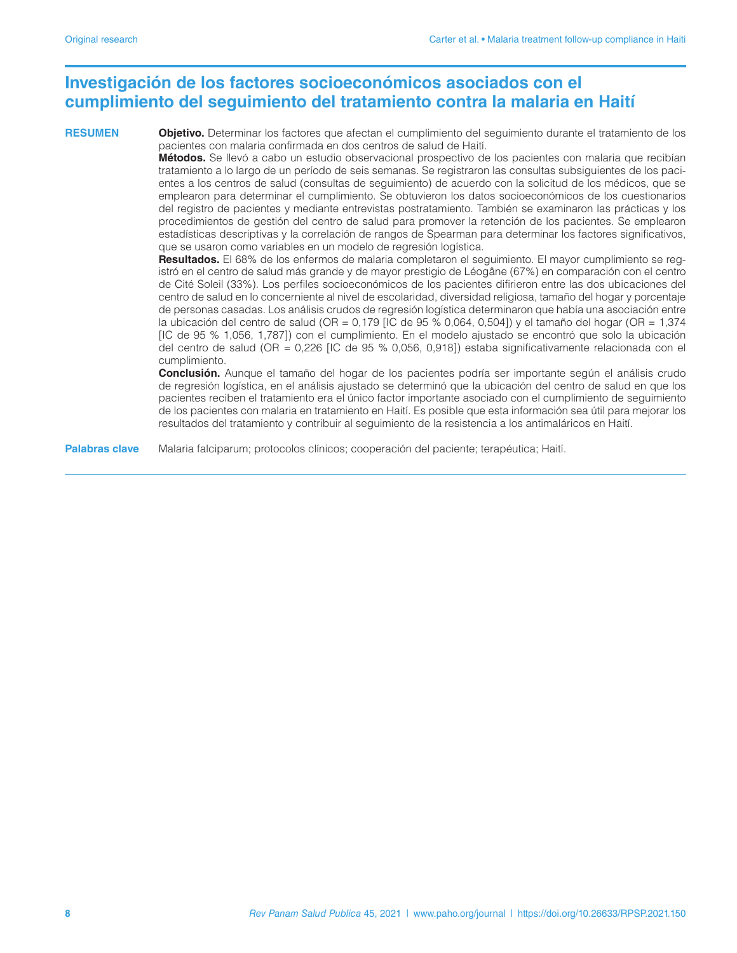# **Investigación de los factores socioeconómicos asociados con el cumplimiento del seguimiento del tratamiento contra la malaria en Haití**

**RESUMEN Objetivo.** Determinar los factores que afectan el cumplimiento del seguimiento durante el tratamiento de los pacientes con malaria confirmada en dos centros de salud de Haití.

**Métodos.** Se llevó a cabo un estudio observacional prospectivo de los pacientes con malaria que recibían tratamiento a lo largo de un período de seis semanas. Se registraron las consultas subsiguientes de los pacientes a los centros de salud (consultas de seguimiento) de acuerdo con la solicitud de los médicos, que se emplearon para determinar el cumplimiento. Se obtuvieron los datos socioeconómicos de los cuestionarios del registro de pacientes y mediante entrevistas postratamiento. También se examinaron las prácticas y los procedimientos de gestión del centro de salud para promover la retención de los pacientes. Se emplearon estadísticas descriptivas y la correlación de rangos de Spearman para determinar los factores significativos, que se usaron como variables en un modelo de regresión logística.

**Resultados.** El 68% de los enfermos de malaria completaron el seguimiento. El mayor cumplimiento se registró en el centro de salud más grande y de mayor prestigio de Léogâne (67%) en comparación con el centro de Cité Soleil (33%). Los perfiles socioeconómicos de los pacientes difirieron entre las dos ubicaciones del centro de salud en lo concerniente al nivel de escolaridad, diversidad religiosa, tamaño del hogar y porcentaje de personas casadas. Los análisis crudos de regresión logística determinaron que había una asociación entre la ubicación del centro de salud (OR = 0,179 [IC de 95 % 0,064, 0,504]) y el tamaño del hogar (OR = 1,374 [IC de 95 % 1,056, 1,787]) con el cumplimiento. En el modelo ajustado se encontró que solo la ubicación del centro de salud (OR = 0,226 [IC de 95 % 0,056, 0,918]) estaba significativamente relacionada con el cumplimiento.

**Conclusión.** Aunque el tamaño del hogar de los pacientes podría ser importante según el análisis crudo de regresión logística, en el análisis ajustado se determinó que la ubicación del centro de salud en que los pacientes reciben el tratamiento era el único factor importante asociado con el cumplimiento de seguimiento de los pacientes con malaria en tratamiento en Haití. Es posible que esta información sea útil para mejorar los resultados del tratamiento y contribuir al seguimiento de la resistencia a los antimaláricos en Haití.

**Palabras clave** Malaria falciparum; protocolos clínicos; cooperación del paciente; terapéutica; Haití.